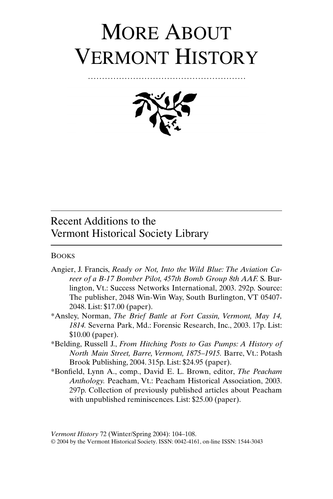# MORE ABOUT VERMONT HISTORY

........................................................



# Recent Additions to the Vermont Historical Society Library

## **BOOKS**

- Angier, J. Francis, *Ready or Not, Into the Wild Blue: The Aviation Career of a B-17 Bomber Pilot, 457th Bomb Group 8th AAF.* S. Burlington, Vt.: Success Networks International, 2003. 292p. Source: The publisher, 2048 Win-Win Way, South Burlington, VT 05407- 2048. List: \$17.00 (paper).
- \*Ansley, Norman, *The Brief Battle at Fort Cassin, Vermont, May 14, 1814.* Severna Park, Md.: Forensic Research, Inc., 2003. 17p. List: \$10.00 (paper).
- \*Belding, Russell J., *From Hitching Posts to Gas Pumps: A History of North Main Street, Barre, Vermont, 1875–1915.* Barre, Vt.: Potash Brook Publishing, 2004. 315p. List: \$24.95 (paper).
- \*Bonfield, Lynn A., comp., David E. L. Brown, editor, *The Peacham Anthology.* Peacham, Vt.: Peacham Historical Association, 2003. 297p. Collection of previously published articles about Peacham with unpublished reminiscences. List: \$25.00 (paper).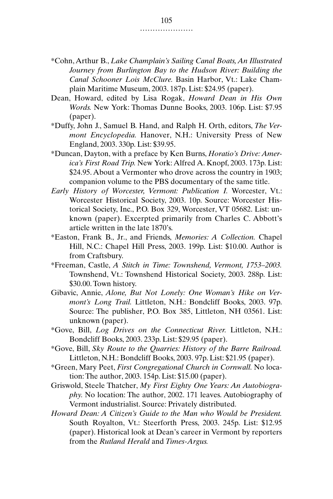- \*Cohn, Arthur B., *Lake Champlain's Sailing Canal Boats, An Illustrated Journey from Burlington Bay to the Hudson River: Building the Canal Schooner Lois McClure.* Basin Harbor, Vt.: Lake Champlain Maritime Museum, 2003. 187p. List: \$24.95 (paper).
- Dean, Howard, edited by Lisa Rogak, *Howard Dean in His Own Words.* New York: Thomas Dunne Books, 2003. 106p. List: \$7.95 (paper).
- \*Duffy, John J., Samuel B. Hand, and Ralph H. Orth, editors, *The Vermont Encyclopedia.* Hanover, N.H.: University Press of New England, 2003. 330p. List: \$39.95.
- \*Duncan, Dayton, with a preface by Ken Burns, *Horatio's Drive: America's First Road Trip.* New York: Alfred A. Knopf, 2003. 173p. List: \$24.95. About a Vermonter who drove across the country in 1903; companion volume to the PBS documentary of the same title.
- *Early History of Worcester, Vermont: Publication I.* Worcester, Vt.: Worcester Historical Society, 2003. 10p. Source: Worcester Historical Society, Inc., P.O. Box 329, Worcester, VT 05682. List: unknown (paper). Excerpted primarily from Charles C. Abbott's article written in the late 1870's.
- \*Easton, Frank B., Jr., and Friends, *Memories: A Collection.* Chapel Hill, N.C.: Chapel Hill Press, 2003. 199p. List: \$10.00. Author is from Craftsbury.
- \*Freeman, Castle, *A Stitch in Time: Townshend, Vermont, 1753–2003.* Townshend, Vt.: Townshend Historical Society, 2003. 288p. List: \$30.00. Town history.
- Gibavic, Annie, *Alone, But Not Lonely: One Woman's Hike on Vermont's Long Trail.* Littleton, N.H.: Bondcliff Books, 2003. 97p. Source: The publisher, P.O. Box 385, Littleton, NH 03561. List: unknown (paper).
- \*Gove, Bill, *Log Drives on the Connecticut River.* Littleton, N.H.: Bondcliff Books, 2003. 233p. List: \$29.95 (paper).
- \*Gove, Bill, *Sky Route to the Quarries: History of the Barre Railroad.* Littleton, N.H.: Bondcliff Books, 2003. 97p. List: \$21.95 (paper).
- \*Green, Mary Peet, *First Congregational Church in Cornwall.* No location: The author, 2003. 154p. List: \$15.00 (paper).
- Griswold, Steele Thatcher, *My First Eighty One Years: An Autobiography.* No location: The author, 2002. 171 leaves. Autobiography of Vermont industrialist. Source: Privately distributed.
- *Howard Dean: A Citizen's Guide to the Man who Would be President.* South Royalton, Vt.: Steerforth Press, 2003. 245p. List: \$12.95 (paper). Historical look at Dean's career in Vermont by reporters from the *Rutland Herald* and *Times-Argus.*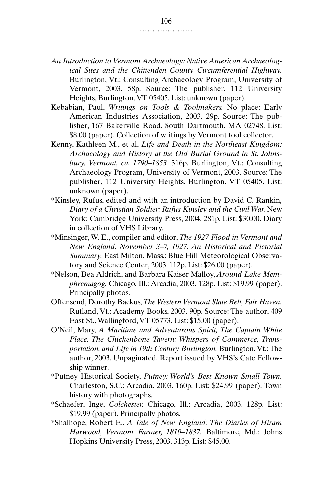- *An Introduction to Vermont Archaeology: Native American Archaeological Sites and the Chittenden County Circumferential Highway.* Burlington, Vt.: Consulting Archaeology Program, University of Vermont, 2003. 58p. Source: The publisher, 112 University Heights, Burlington, VT 05405. List: unknown (paper).
- Kebabian, Paul, *Writings on Tools & Toolmakers.* No place: Early American Industries Association, 2003. 29p. Source: The publisher, 167 Bakerville Road, South Dartmouth, MA 02748. List: \$8.00 (paper). Collection of writings by Vermont tool collector.
- Kenny, Kathleen M., et al, *Life and Death in the Northeast Kingdom: Archaeology and History at the Old Burial Ground in St. Johnsbury, Vermont, ca. 1790–1853.* 316p. Burlington, Vt.: Consulting Archaeology Program, University of Vermont, 2003. Source: The publisher, 112 University Heights, Burlington, VT 05405. List: unknown (paper).
- \*Kinsley, Rufus, edited and with an introduction by David C. Rankin*, Diary of a Christian Soldier: Rufus Kinsley and the Civil War.* New York: Cambridge University Press, 2004. 281p. List: \$30.00. Diary in collection of VHS Library.
- \*Minsinger, W. E., compiler and editor, *The 1927 Flood in Vermont and New England, November 3–7, 1927: An Historical and Pictorial Summary.* East Milton, Mass.: Blue Hill Meteorological Observatory and Science Center, 2003. 112p. List: \$26.00 (paper).
- \*Nelson, Bea Aldrich, and Barbara Kaiser Malloy, *Around Lake Memphremagog.* Chicago, Ill.: Arcadia, 2003. 128p. List: \$19.99 (paper). Principally photos.
- Offensend, Dorothy Backus, *The Western Vermont Slate Belt, Fair Haven.* Rutland, Vt.: Academy Books, 2003. 90p. Source: The author, 409 East St., Wallingford, VT 05773. List: \$15.00 (paper).
- O'Neil, Mary, *A Maritime and Adventurous Spirit, The Captain White Place, The Chickenbone Tavern: Whispers of Commerce, Transportation, and Life in 19th Century Burlington.* Burlington, Vt.: The author, 2003. Unpaginated. Report issued by VHS's Cate Fellowship winner.
- \*Putney Historical Society, *Putney: World's Best Known Small Town.* Charleston, S.C.: Arcadia, 2003. 160p. List: \$24.99 (paper). Town history with photographs.
- \*Schaefer, Inge, *Colchester.* Chicago, Ill.: Arcadia, 2003. 128p. List: \$19.99 (paper). Principally photos.
- \*Shalhope, Robert E., *A Tale of New England: The Diaries of Hiram Harwood, Vermont Farmer, 1810–1837.* Baltimore, Md.: Johns Hopkins University Press, 2003. 313p. List: \$45.00.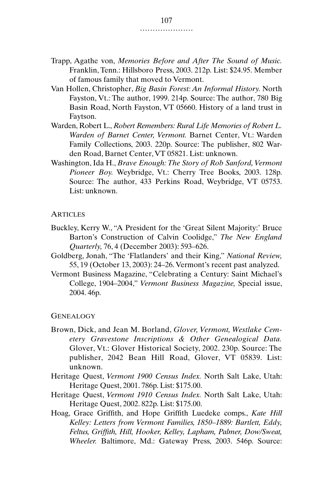- Trapp, Agathe von, *Memories Before and After The Sound of Music.* Franklin, Tenn.: Hillsboro Press, 2003. 212p. List: \$24.95. Member of famous family that moved to Vermont.
- Van Hollen, Christopher, *Big Basin Forest: An Informal History.* North Fayston, Vt.: The author, 1999. 214p. Source: The author, 780 Big Basin Road, North Fayston, VT 05660. History of a land trust in Faytson.
- Warden, Robert L., *Robert Remembers: Rural Life Memories of Robert L. Warden of Barnet Center, Vermont.* Barnet Center, Vt.: Warden Family Collections, 2003. 220p. Source: The publisher, 802 Warden Road, Barnet Center, VT 05821. List: unknown.
- Washington, Ida H., *Brave Enough: The Story of Rob Sanford, Vermont Pioneer Boy.* Weybridge, Vt.: Cherry Tree Books, 2003. 128p. Source: The author, 433 Perkins Road, Weybridge, VT 05753. List: unknown.

#### **ARTICLES**

- Buckley, Kerry W., "A President for the 'Great Silent Majority:' Bruce Barton's Construction of Calvin Coolidge," *The New England Quarterly,* 76, 4 (December 2003): 593–626.
- Goldberg, Jonah, "The 'Flatlanders' and their King," *National Review,* 55, 19 (October 13, 2003): 24–26. Vermont's recent past analyzed.
- Vermont Business Magazine, "Celebrating a Century: Saint Michael's College, 1904–2004," *Vermont Business Magazine,* Special issue, 2004. 46p.

### **GENEALOGY**

- Brown, Dick, and Jean M. Borland, *Glover, Vermont, Westlake Cemetery Gravestone Inscriptions & Other Genealogical Data.* Glover, Vt.: Glover Historical Society, 2002. 230p. Source: The publisher, 2042 Bean Hill Road, Glover, VT 05839. List: unknown.
- Heritage Quest, *Vermont 1900 Census Index.* North Salt Lake, Utah: Heritage Quest, 2001. 786p. List: \$175.00.
- Heritage Quest, *Vermont 1910 Census Index.* North Salt Lake, Utah: Heritage Quest, 2002. 822p. List: \$175.00.
- Hoag, Grace Griffith, and Hope Griffith Luedeke comps., *Kate Hill Kelley: Letters from Vermont Families, 1850–1889: Bartlett, Eddy, Feltus, Griffith, Hill, Hooker, Kelley, Lapham, Palmer, Dow/Sweat, Wheeler.* Baltimore, Md.: Gateway Press, 2003. 546p. Source: